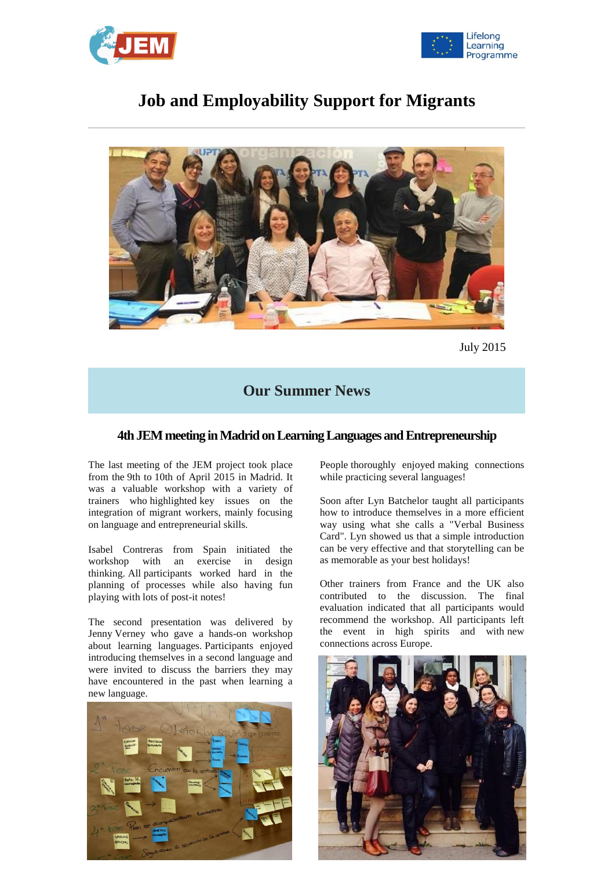



# **[Job and Employability Support for Migrants](http://jem.dedi.velay.greta.fr/)**



July 2015

## **Our Summer News**

#### **4th JEM meeting in Madrid on Learning Languages and Entrepreneurship**

The last meeting of the JEM project took place from the 9th to 10th of April 2015 in Madrid. It was a valuable workshop with a variety of trainers who highlighted key issues on the integration of migrant workers, mainly focusing on language and entrepreneurial skills.

Isabel Contreras from Spain initiated the workshop with an exercise in design thinking. All participants worked hard in the planning of processes while also having fun playing with lots of post-it notes!

The second presentation was delivered by Jenny Verney who gave a hands-on workshop about learning languages. Participants enjoyed introducing themselves in a second language and were invited to discuss the barriers they may have encountered in the past when learning a new language.



People thoroughly enjoyed making connections while practicing several languages!

Soon after Lyn Batchelor taught all participants how to introduce themselves in a more efficient way using what she calls a "Verbal Business Card". Lyn showed us that a simple introduction can be very effective and that storytelling can be as memorable as your best holidays!

Other trainers from France and the UK also contributed to the discussion. The final evaluation indicated that all participants would recommend the workshop. All participants left the event in high spirits and with new connections across Europe.

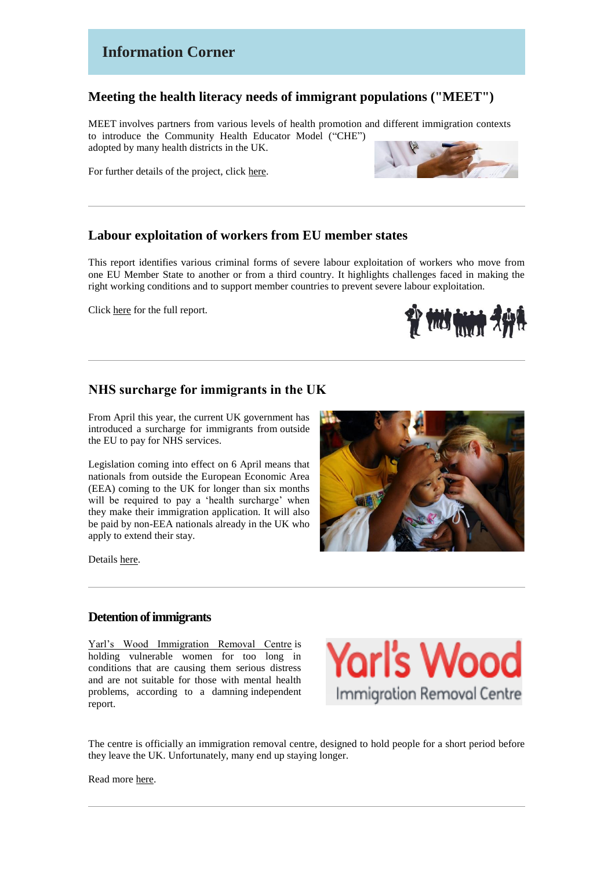## **Information Corner**

#### **Meeting the health literacy needs of immigrant populations ("MEET")**

MEET involves partners from various levels of health promotion and different immigration contexts to introduce the Community Health Educator Model ("CHE") adopted by many health districts in the UK.

For further details of the project, click [here.](http://migranthealth.eu/index.php/en/)



#### **Labour exploitation of workers from EU member states**

This report identifies various criminal forms of severe labour exploitation of workers who move from one EU Member State to another or from a third country. It highlights challenges faced in making the right working conditions and to support member countries to prevent severe labour exploitation.

Clic[k here](http://fra.europa.eu/en/publication/2015/severe-labour-exploitation-workers-moving-within-or-european-union) for the full report.



#### **NHS** surcharge for immigrants in the UK

From April this year, the current UK government has introduced a surcharge for immigrants from outside the EU to pay for NHS services.

Legislation coming into effect on 6 April means that nationals from outside the European Economic Area (EEA) coming to the UK for longer than six months will be required to pay a 'health surcharge' when they make their immigration application. It will also be paid by non-EEA nationals already in the UK who apply to extend their stay.



Details [here.](https://www.gov.uk/government/news/migrant-health-surcharge-to-raise-200-million-a-year)

#### **Detention of immigrants**

[Yarl's Wood Immigration Removal Centre](http://www.yarlswood.co.uk/) is holding vulnerable women for too long in conditions that are causing them serious distress and are not suitable for those with mental health problems, according to a damning independent report.



The centre is officially an immigration removal centre, designed to hold people for a short period before they leave the UK. Unfortunately, many end up staying longer.

Read mor[e here.](http://www.theguardian.com/uk-news/2015/jun/09/yarls-wood-immigration-removal-centre-women-children?CMP=Share_AndroidApp_Tweet)